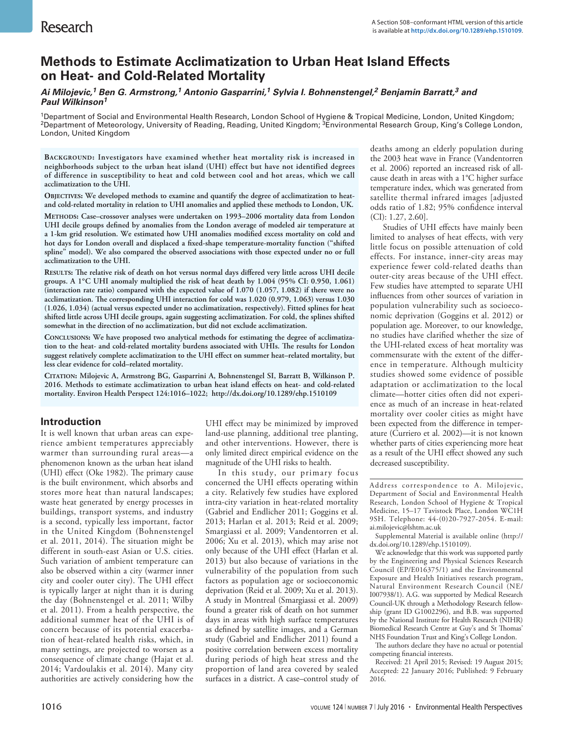# **Methods to Estimate Acclimatization to Urban Heat Island Effects on Heat- and Cold-Related Mortality**

## *Ai Milojevic,1 Ben G. Armstrong,1 Antonio Gasparrini,1 Sylvia I. Bohnenstengel,2 Benjamin Barratt,3 and Paul Wilkinson1*

1Department of Social and Environmental Health Research, London School of Hygiene & Tropical Medicine, London, United Kingdom; <sup>2</sup>Department of Meteorology, University of Reading, Reading, United Kingdom; <sup>3</sup>Environmental Research Group, King's College London, London, United Kingdom

**Background: Investigators have examined whether heat mortality risk is increased in neighborhoods subject to the urban heat island (UHI) effect but have not identified degrees of difference in susceptibility to heat and cold between cool and hot areas, which we call acclimatization to the UHI.**

OBJECTIVES: We developed methods to examine and quantify the degree of acclimatization to heat**and cold-related mortality in relation to UHI anomalies and applied these methods to London, UK. Methods: Case–crossover analyses were undertaken on 1993–2006 mortality data from London UHI decile groups defined by anomalies from the London average of modeled air temperature at a 1-km grid resolution. We estimated how UHI anomalies modified excess mortality on cold and hot days for London overall and displaced a fixed-shape temperature-mortality function ("shifted spline" model). We also compared the observed associations with those expected under no or full acclimatization to the UHI.**

**Results: The relative risk of death on hot versus normal days differed very little across UHI decile groups. A 1°C UHI anomaly multiplied the risk of heat death by 1.004 (95% CI: 0.950, 1.061) (interaction rate ratio) compared with the expected value of 1.070 (1.057, 1.082) if there were no acclimatization. The corresponding UHI interaction for cold was 1.020 (0.979, 1.063) versus 1.030 (1.026, 1.034) (actual versus expected under no acclimatization, respectively). Fitted splines for heat shifted little across UHI decile groups, again suggesting acclimatization. For cold, the splines shifted somewhat in the direction of no acclimatization, but did not exclude acclimatization.**

**Conclusions: We have proposed two analytical methods for estimating the degree of acclimatization to the heat- and cold-related mortality burdens associated with UHIs. The results for London suggest relatively complete acclimatization to the UHI effect on summer heat–related mortality, but less clear evidence for cold–related mortality.**

**Citation: Milojevic A, Armstrong BG, Gasparrini A, Bohnenstengel SI, Barratt B, Wilkinson P. 2016. Methods to estimate acclimatization to urban heat island effects on heat- and cold-related mortality. Environ Health Perspect 124:1016–1022; http://dx.doi.org/10.1289/ehp.1510109**

## **Introduction**

It is well known that urban areas can experience ambient temperatures appreciably warmer than surrounding rural areas—a phenomenon known as the urban heat island (UHI) effect (Oke 1982). The primary cause is the built environment, which absorbs and stores more heat than natural landscapes; waste heat generated by energy processes in buildings, transport systems, and industry is a second, typically less important, factor in the United Kingdom (Bohnenstengel et al. 2011, 2014). The situation might be different in south-east Asian or U.S. cities. Such variation of ambient temperature can also be observed within a city (warmer inner city and cooler outer city). The UHI effect is typically larger at night than it is during the day (Bohnenstengel et al. 2011; Wilby et al. 2011). From a health perspective, the additional summer heat of the UHI is of concern because of its potential exacerbation of heat-related health risks, which, in many settings, are projected to worsen as a consequence of climate change (Hajat et al. 2014; Vardoulakis et al. 2014). Many city authorities are actively considering how the

UHI effect may be minimized by improved land-use planning, additional tree planting, and other interventions. However, there is only limited direct empirical evidence on the magnitude of the UHI risks to health.

In this study, our primary focus concerned the UHI effects operating within a city. Relatively few studies have explored intra-city variation in heat-related mortality (Gabriel and Endlicher 2011; Goggins et al. 2013; Harlan et al. 2013; Reid et al. 2009; Smargiassi et al. 2009; Vandentorren et al. 2006; Xu et al. 2013), which may arise not only because of the UHI effect (Harlan et al. 2013) but also because of variations in the vulnerability of the population from such factors as population age or socioeconomic deprivation (Reid et al. 2009; Xu et al. 2013). A study in Montreal (Smargiassi et al. 2009) found a greater risk of death on hot summer days in areas with high surface temperatures as defined by satellite images, and a German study (Gabriel and Endlicher 2011) found a positive correlation between excess mortality during periods of high heat stress and the proportion of land area covered by sealed surfaces in a district. A case–control study of deaths among an elderly population during the 2003 heat wave in France (Vandentorren et al. 2006) reported an increased risk of allcause death in areas with a 1°C higher surface temperature index, which was generated from satellite thermal infrared images [adjusted odds ratio of 1.82; 95% confidence interval (CI): 1.27, 2.60].

Studies of UHI effects have mainly been limited to analyses of heat effects, with very little focus on possible attenuation of cold effects. For instance, inner-city areas may experience fewer cold-related deaths than outer-city areas because of the UHI effect. Few studies have attempted to separate UHI influences from other sources of variation in population vulnerability such as socioeconomic deprivation (Goggins et al. 2012) or population age. Moreover, to our knowledge, no studies have clarified whether the size of the UHI-related excess of heat mortality was commensurate with the extent of the difference in temperature. Although multicity studies showed some evidence of possible adaptation or acclimatization to the local climate—hotter cities often did not experience as much of an increase in heat-related mortality over cooler cities as might have been expected from the difference in temperature (Curriero et al. 2002)—it is not known whether parts of cities experiencing more heat as a result of the UHI effect showed any such decreased susceptibility.

Address correspondence to A. Milojevic, Department of Social and Environmental Health Research, London School of Hygiene & Tropical Medicine, 15-17 Tavistock Place, London WC1H 9SH. Telephone: 44-(0)20-7927-2054. E-mail: ai.milojevic@lshtm.ac.uk

Supplemental Material is available online (http:// dx.doi.org/10.1289/ehp.1510109).

We acknowledge that this work was supported partly by the Engineering and Physical Sciences Research Council (EP/E016375/1) and the Environmental Exposure and Health Initiatives research program, Natural Environment Research Council (NE/ I007938/1). A.G. was supported by Medical Research Council-UK through a Methodology Research fellowship (grant ID G1002296), and B.B. was supported by the National Institute for Health Research (NIHR) Biomedical Research Centre at Guy's and St Thomas' NHS Foundation Trust and King's College London.

The authors declare they have no actual or potential competing financial interests.

Received: 21 April 2015; Revised: 19 August 2015; Accepted: 22 January 2016; Published: 9 February 2016.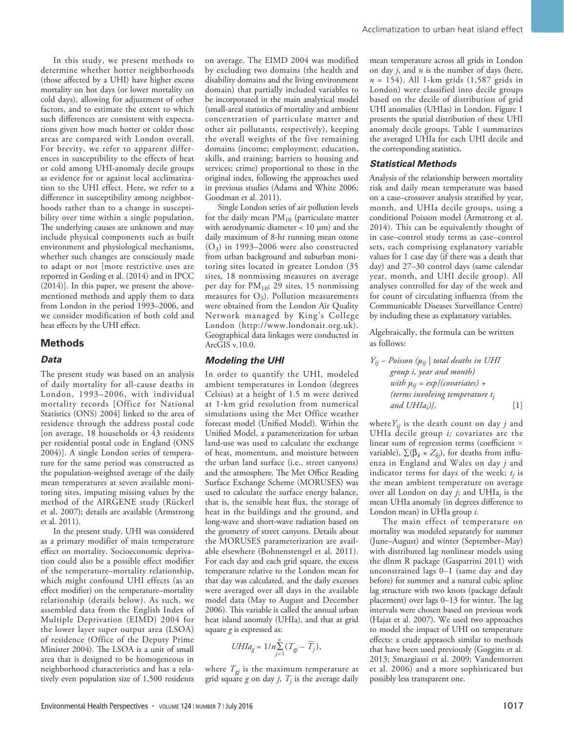In this study, we present methods to determine whether hotter neighborhoods (those affected by a UHI) have higher excess mortality on hot days (or lower mortality on cold days), allowing for adjustment of other factors, and to estimate the extent to which such differences are consistent with expectations given how much hotter or colder those areas are compared with London overall. For brevity, we refer to apparent differences in susceptibility to the effects of heat or cold among UHI-anomaly decile groups as evidence for or against local acclimatization to the UHI effect. Here, we refer to a difference in susceptibility among neighborhoods rather than to a change in susceptibility over time within a single population. The underlying causes are unknown and may include physical components such as built environment and physiological mechanisms, whether such changes are consciously made to adapt or not [more restrictive uses are reported in Gosling et al. (2014) and in IPCC (2014)]. In this paper, we present the abovementioned methods and apply them to data from London in the period 1993–2006, and we consider modification of both cold and heat effects by the UHI effect.

#### **Methods**

#### *Data*

The present study was based on an analysis of daily mortality for all-cause deaths in London, 1993–2006, with individual mortality records [Office for National Statistics (ONS) 2004] linked to the area of residence through the address postal code [on average, 18 households or 43 residents per residential postal code in England (ONS 2004)]. A single London series of temperature for the same period was constructed as the population-weighted average of the daily mean temperatures at seven available monitoring sites, imputing missing values by the method of the AIRGENE study (Rückerl et al. 2007); details are available (Armstrong et al. 2011).

In the present study, UHI was considered as a primary modifier of main temperature effect on mortality. Socioeconomic deprivation could also be a possible effect modifier of the temperature–mortality relationship, which might confound UHI effects (as an effect modifier) on the temperature–mortality relationship (details below). As such, we assembled data from the English Index of Multiple Deprivation (EIMD) 2004 for the lower layer super output area (LSOA) of residence (Office of the Deputy Prime Minister 2004). The LSOA is a unit of small area that is designed to be homogeneous in neighborhood characteristics and has a relatively even population size of 1,500 residents

on average. The EIMD 2004 was modified by excluding two domains (the health and disability domains and the living environment domain) that partially included variables to be incorporated in the main analytical model (small-areal statistics of mortality and ambient concentration of particulate matter and other air pollutants, respectively), keeping the overall weights of the five remaining domains (income; employment; education, skills, and training; barriers to housing and services; crime) proportional to those in the original index, following the approaches used in previous studies (Adams and White 2006; Goodman et al. 2011).

Single London series of air pollution levels for the daily mean  $PM_{10}$  (particulate matter with aerodynamic diameter < 10 μm) and the daily maximum of 8-hr running mean ozone  $(O_3)$  in 1993–2006 were also constructed from urban background and suburban monitoring sites located in greater London (35 sites, 18 nonmissing measures on average per day for  $PM_{10}$ ; 29 sites, 15 nonmissing measures for  $O_3$ ). Pollution measurements were obtained from the London Air Quality Network managed by King's College London (http://www.londonair.org.uk). Geographical data linkages were conducted in ArcGIS v.10.0.

#### *Modeling the UHI*

In order to quantify the UHI, modeled ambient temperatures in London (degrees Celsius) at a height of 1.5 m were derived at 1-km grid resolution from numerical simulations using the Met Office weather forecast model (Unified Model). Within the Unified Model, a parameterization for urban land-use was used to calculate the exchange of heat, momentum, and moisture between the urban land surface (i.e., street canyons) and the atmosphere. The Met Office Reading Surface Exchange Scheme (MORUSES) was used to calculate the surface energy balance, that is, the sensible heat flux, the storage of heat in the buildings and the ground, and long-wave and short-wave radiation based on the geometry of street canyons. Details about the MORUSES parameterization are available elsewhere (Bohnenstengel et al. 2011). For each day and each grid square, the excess temperature relative to the London mean for that day was calculated, and the daily excesses were averaged over all days in the available model data (May to August and December 2006). This variable is called the annual urban heat island anomaly (UHIa), and that at grid square  $g$  is expressed as:

$$
UHIa_g = 1/n \sum_{j=1}^{n} (T_{gj} - \overline{T}_j),
$$

where  $T_{gi}$  is the maximum temperature at grid square  $g$  on day  $j$ ,  $T_j$  is the average daily

mean temperature across all grids in London on day *j*, and *n* is the number of days (here, *n* = 154). All 1-km grids (1,587 grids in London) were classified into decile groups based on the decile of distribution of grid UHI anomalies (UHIas) in London. Figure 1 presents the spatial distribution of these UHI anomaly decile groups. Table 1 summarizes the averaged UHIa for each UHI decile and the corresponding statistics.

## *Statistical Methods*

Analysis of the relationship between mortality risk and daily mean temperature was based on a case–crossover analysis stratified by year, month, and UHIa decile groups, using a conditional Poisson model (Armstrong et al. 2014). This can be equivalently thought of in case–control study terms as case–control sets, each comprising explanatory variable values for 1 case day (if there was a death that day) and 27–30 control days (same calendar year, month, and UHI decile group). All analyses controlled for day of the week and for count of circulating influenza (from the Communicable Diseases Surveillance Centre) by including these as explanatory variables.

Algebraically, the formula can be written as follows:

$$
Y_{ij} \sim Poisson\left(\mu_{ij} \mid total\ deaths\ in\ UHI
$$
\ngroup i, year and month)  
\nwith  $\mu_{ij} = exp\{(covariates) +$   
\n(*terms involving temperature t<sub>j</sub>*  
\nand UHIa<sub>i</sub>)}, [1]

where  $Y_{ij}$  is the death count on day  $j$  and UHIa decile group *i;* covariates are the linear sum of regression terms (coefficient  $\times$ variable),  $\Sigma(\beta_k \times Z_{kj})$ , for deaths from influenza in England and Wales on day *j* and indicator terms for days of the week;  $t_j$  is the mean ambient temperature on average over all London on day *j*; and UHIa*i* is the mean UHIa anomaly (in degrees difference to London mean) in UHIa group *i*.

The main effect of temperature on mortality was modeled separately for summer (June–August) and winter (September–May) with distributed lag nonlinear models using the dlnm R package (Gasparrini 2011) with unconstrained lags 0–1 (same day and day before) for summer and a natural cubic spline lag structure with two knots (package default placement) over lags 0–13 for winter. The lag intervals were chosen based on previous work (Hajat et al. 2007). We used two approaches to model the impact of UHI on temperature effects: a crude appraoch similar to methods that have been used previously (Goggins et al. 2013; Smargiassi et al. 2009; Vandentorren et al. 2006) and a more sophisticated but possibly less transparent one.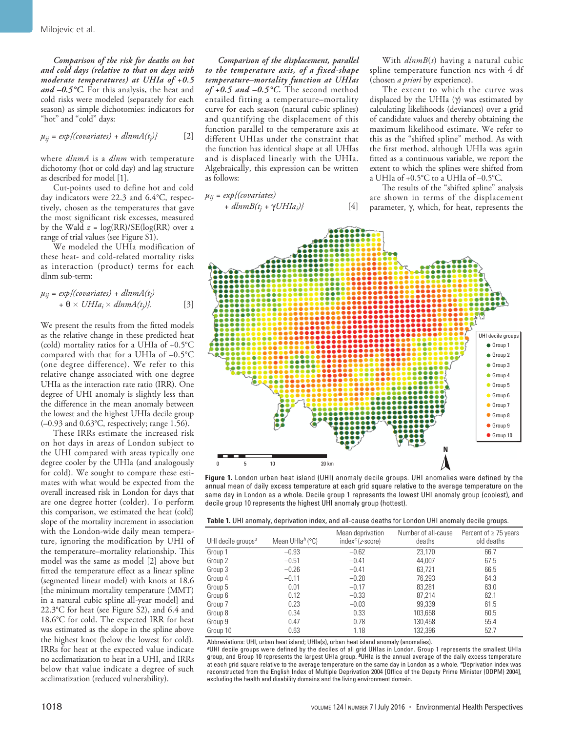*Comparison of the risk for deaths on hot and cold days (relative to that on days with moderate temperatures) at UHIa of +0.5 and –0.5°C.* For this analysis, the heat and cold risks were modeled (separately for each season) as simple dichotomies: indicators for "hot" and "cold" days:

 $\mu_{ij} = exp\{ (covariates) + dlnmA(t_i) \}$ *)}* [2]

where *dlnmA* is a *dlnm* with temperature dichotomy (hot or cold day) and lag structure as described for model [1].

Cut-points used to define hot and cold day indicators were 22.3 and 6.4°C, respectively, chosen as the temperatures that gave the most significant risk excesses, measured by the Wald  $z = \log(RR)/SE(\log(RR))$  over a range of trial values (see Figure S1).

We modeled the UHIa modification of these heat- and cold-related mortality risks as interaction (product) terms for each dlnm sub-term:

$$
\mu_{ij} = exp\{ (covariates) + dlnmA(t_j) + \Theta \times UHIa_i \times dlnmA(t_j) \}.
$$
 [3]

We present the results from the fitted models as the relative change in these predicted heat (cold) mortality ratios for a UHIa of +0.5°C compared with that for a UHIa of –0.5°C (one degree difference). We refer to this relative change associated with one degree UHIa as the interaction rate ratio (IRR). One degree of UHI anomaly is slightly less than the difference in the mean anomaly between the lowest and the highest UHIa decile group (–0.93 and 0.63°C, respectively; range 1.56).

These IRRs estimate the increased risk on hot days in areas of London subject to the UHI compared with areas typically one degree cooler by the UHIa (and analogously for cold). We sought to compare these estimates with what would be expected from the overall increased risk in London for days that are one degree hotter (colder). To perform this comparison, we estimated the heat (cold) slope of the mortality increment in association with the London-wide daily mean temperature, ignoring the modification by UHI of the temperature–mortality relationship. This model was the same as model [2] above but fitted the temperature effect as a linear spline (segmented linear model) with knots at 18.6 [the minimum mortality temperature (MMT) in a natural cubic spline all-year model] and 22.3°C for heat (see Figure S2), and 6.4 and 18.6°C for cold. The expected IRR for heat was estimated as the slope in the spline above the highest knot (below the lowest for cold). IRRs for heat at the expected value indicate no acclimatization to heat in a UHI, and IRRs below that value indicate a degree of such acclimatization (reduced vulnerability).

*Comparison of the displacement, parallel to the temperature axis, of a fixed-shape temperature–mortality function at UHIas of +0.5 and –0.5°C.* The second method entailed fitting a temperature–mortality curve for each season (natural cubic splines) and quantifying the displacement of this function parallel to the temperature axis at different UHIas under the constraint that the function has identical shape at all UHIas and is displaced linearly with the UHIa. Algebraically, this expression can be written as follows:

$$
\mu_{ij} = exp\{ (covariates) + dlnmB(t_j + \gamma UHIa_i) \}
$$
 [4]

With *dlnmB*(*t*) having a natural cubic spline temperature function ncs with 4 df (chosen *a priori* by experience).

The extent to which the curve was displaced by the UHIa (γ) was estimated by calculating likelihoods (deviances) over a grid of candidate values and thereby obtaining the maximum likelihood estimate. We refer to this as the "shifted spline" method. As with the first method, although UHIa was again fitted as a continuous variable, we report the extent to which the splines were shifted from a UHIa of +0.5°C to a UHIa of –0.5°C.

The results of the "shifted spline" analysis are shown in terms of the displacement parameter, γ, which, for heat, represents the



**Figure 1.** London urban heat island (UHI) anomaly decile groups. UHI anomalies were defined by the annual mean of daily excess temperature at each grid square relative to the average temperature on the same day in London as a whole. Decile group 1 represents the lowest UHI anomaly group (coolest), and decile group 10 represents the highest UHI anomaly group (hottest).

| <b>Table 1.</b> UHI anomaly, deprivation index, and all-cause deaths for London UHI anomaly decile groups. |  |  |
|------------------------------------------------------------------------------------------------------------|--|--|
|------------------------------------------------------------------------------------------------------------|--|--|

| UHI decile groups <sup>a</sup> | Mean UHla $^b$ ( $^{\circ}$ C) | Mean deprivation<br>$index^{c} (z-score)$ | Number of all-cause<br>deaths | Percent of $\geq$ 75 years<br>old deaths |
|--------------------------------|--------------------------------|-------------------------------------------|-------------------------------|------------------------------------------|
| Group 1                        | $-0.93$                        | $-0.62$                                   | 23,170                        | 66.7                                     |
| Group 2                        | $-0.51$                        | $-0.41$                                   | 44.007                        | 67.5                                     |
| Group 3                        | $-0.26$                        | $-0.41$                                   | 63,721                        | 66.5                                     |
| Group 4                        | $-0.11$                        | $-0.28$                                   | 76,293                        | 64.3                                     |
| Group 5                        | 0.01                           | $-0.17$                                   | 83.281                        | 63.0                                     |
| Group 6                        | 0.12                           | $-0.33$                                   | 87.214                        | 62.1                                     |
| Group 7                        | 0.23                           | $-0.03$                                   | 99,339                        | 61.5                                     |
| Group 8                        | 0.34                           | 0.33                                      | 103,658                       | 60.5                                     |
| Group 9                        | 0.47                           | 0.78                                      | 130,458                       | 55.4                                     |
| Group 10                       | 0.63                           | 1.18                                      | 132.396                       | 52.7                                     |

Abbreviations: UHI, urban heat island; UHIa(s), urban heat island anomaly (anomalies).

*<sup>a</sup>*UHI decile groups were defined by the deciles of all grid UHIas in London. Group 1 represents the smallest UHIa group, and Group 10 represents the largest UHIa group. *b*UHIa is the annual average of the daily excess temperature at each grid square relative to the average temperature on the same day in London as a whole. *c*Deprivation index was reconstructed from the English Index of Multiple Deprivation 2004 [Office of the Deputy Prime Minister (ODPM) 2004], excluding the health and disability domains and the living environment domain.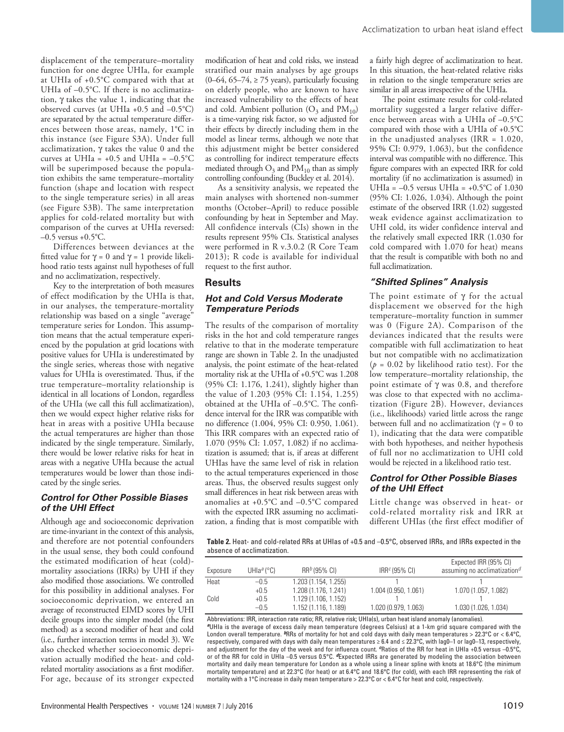displacement of the temperature–mortality function for one degree UHIa, for example at UHIa of +0.5°C compared with that at UHIa of  $-0.5$ °C. If there is no acclimatization, γ takes the value 1, indicating that the observed curves (at UHIa  $+0.5$  and  $-0.5$ °C) are separated by the actual temperature differences between those areas, namely, 1°C in this instance (see Figure S3A). Under full acclimatization, γ takes the value 0 and the curves at UHIa =  $+0.5$  and UHIa =  $-0.5^{\circ}$ C will be superimposed because the population exhibits the same temperature–mortality function (shape and location with respect to the single temperature series) in all areas (see Figure S3B). The same interpretation applies for cold-related mortality but with comparison of the curves at UHIa reversed:  $-0.5$  versus  $+0.5$ °C.

Differences between deviances at the fitted value for γ = 0 and γ = 1 provide likelihood ratio tests against null hypotheses of full and no acclimatization, respectively.

Key to the interpretation of both measures of effect modification by the UHIa is that, in our analyses, the temperature-mortality relationship was based on a single "average" temperature series for London. This assumption means that the actual temperature experienced by the population at grid locations with positive values for UHIa is underestimated by the single series, whereas those with negative values for UHIa is overestimated. Thus, if the true temperature–mortality relationship is identical in all locations of London, regardless of the UHIa (we call this full acclimatization), then we would expect higher relative risks for heat in areas with a positive UHIa because the actual temperatures are higher than those indicated by the single temperature. Similarly, there would be lower relative risks for heat in areas with a negative UHIa because the actual temperatures would be lower than those indicated by the single series.

## *Control for Other Possible Biases of the UHI Effect*

Although age and socioeconomic deprivation are time-invariant in the context of this analysis, and therefore are not potential confounders in the usual sense, they both could confound the estimated modification of heat (cold) mortality associations (IRRs) by UHI if they also modified those associations. We controlled for this possibility in additional analyses. For socioeconomic deprivation, we entered an average of reconstructed EIMD scores by UHI decile groups into the simpler model (the first method) as a second modifier of heat and cold (i.e., further interaction terms in model 3). We also checked whether socioeconomic deprivation actually modified the heat- and coldrelated mortality associations as a first modifier. For age, because of its stronger expected

increased vulnerability to the effects of heat and cold. Ambient pollution  $(O_3$  and  $PM_{10}$ ) is a time-varying risk factor, so we adjusted for their effects by directly including them in the model as linear terms, although we note that this adjustment might be better considered as controlling for indirect temperature effects mediated through  $O_3$  and  $PM_{10}$  than as simply controlling confounding (Buckley et al. 2014). As a sensitivity analysis, we repeated the main analyses with shortened non-summer months (October–April) to reduce possible confounding by heat in September and May. All confidence intervals (CIs) shown in the results represent 95% CIs. Statistical analyses were performed in R v.3.0.2 (R Core Team 2013); R code is available for individual

request to the first author.

*Temperature Periods*

*Hot and Cold Versus Moderate* 

The results of the comparison of mortality risks in the hot and cold temperature ranges relative to that in the moderate temperature range are shown in Table 2. In the unadjusted analysis, the point estimate of the heat-related mortality risk at the UHIa of +0.5°C was 1.208 (95% CI: 1.176, 1.241), slightly higher than the value of 1.203 (95% CI: 1.154, 1.255) obtained at the UHIa of –0.5°C. The confidence interval for the IRR was compatible with no difference (1.004, 95% CI: 0.950, 1.061). This IRR compares with an expected ratio of 1.070 (95% CI: 1.057, 1.082) if no acclimatization is assumed; that is, if areas at different UHIas have the same level of risk in relation to the actual temperatures experienced in those areas. Thus, the observed results suggest only small differences in heat risk between areas with anomalies at +0.5°C and –0.5°C compared with the expected IRR assuming no acclimatization, a finding that is most compatible with

**Results**

The point estimate results for cold-related mortality suggested a larger relative difference between areas with a UHIa of –0.5°C compared with those with a UHIa of +0.5°C in the unadjusted analyses (IRR = 1.020, 95% CI: 0.979, 1.063), but the confidence interval was compatible with no difference. This figure compares with an expected IRR for cold mortality (if no acclimatization is assumed) in UHIa =  $-0.5$  versus UHIa =  $+0.5$ °C of 1.030 (95% CI: 1.026, 1.034). Although the point estimate of the observed IRR (1.02) suggested weak evidence against acclimatization to UHI cold, its wider confidence interval and the relatively small expected IRR (1.030 for cold compared with 1.070 for heat) means that the result is compatible with both no and full acclimatization.

Acclimatization to urban heat island effect

## *"Shifted Splines" Analysis*

The point estimate of  $\gamma$  for the actual displacement we observed for the high temperature–mortality function in summer was 0 (Figure 2A). Comparison of the deviances indicated that the results were compatible with full acclimatization to heat but not compatible with no acclimatization  $(p = 0.02$  by likelihood ratio test). For the low temperature–mortality relationship, the point estimate of  $γ$  was 0.8, and therefore was close to that expected with no acclimatization (Figure 2B). However, deviances (i.e., likelihoods) varied little across the range between full and no acclimatization (γ = 0 to 1), indicating that the data were compatible with both hypotheses, and neither hypothesis of full nor no acclimatization to UHI cold would be rejected in a likelihood ratio test.

## *Control for Other Possible Biases of the UHI Effect*

Little change was observed in heat- or cold-related mortality risk and IRR at different UHIas (the first effect modifier of

**Table 2.** Heat- and cold-related RRs at UHIas of +0.5 and –0.5°C, observed IRRs, and IRRs expected in the absence of acclimatization.

| Exposure | UHla <sup>a</sup> (°C) | $RR^{b}$ (95% CI)    | IRR $c$ (95% CI)     | Expected IRR (95% CI)<br>assuming no acclimatization <sup><math>d</math></sup> |
|----------|------------------------|----------------------|----------------------|--------------------------------------------------------------------------------|
| Heat     | $-0.5$                 | 1.203 (1.154, 1.255) |                      |                                                                                |
|          | $+0.5$                 | 1.208 (1.176, 1.241) | 1.004 (0.950, 1.061) | 1.070 (1.057, 1.082)                                                           |
| Cold     | $+0.5$                 | 1.129 (1.106, 1.152) |                      |                                                                                |
|          | $-0.5$                 | 1.152 (1.116, 1.189) | 1.020 (0.979, 1.063) | 1.030 (1.026, 1.034)                                                           |

Abbreviations: IRR, interaction rate ratio; RR, relative risk; UHIa(s), urban heat island anomaly (anomalies). *<sup>a</sup>*UHIa is the average of excess daily mean temperature (degrees Celsius) at a 1-km grid square compared with the London overall temperature. <sup>b</sup>RRs of mortality for hot and cold days with daily mean temperatures > 22.3°C or < 6.4°C, respectively, compared with days with daily mean temperatures ≥ 6.4 and ≤ 22.3°C, with lag0–1 or lag0–13, respectively, and adjustment for the day of the week and for influenza count. <sup>c</sup>Ratios of the RR for heat in UHIa +0.5 versus –0.5°C, or of the RR for cold in UHIa –0.5 versus 0.5°C. *d*Expected IRRs are generated by modeling the association between mortality and daily mean temperature for London as a whole using a linear spline with knots at 18.6°C (the minimum mortality temperature) and at 22.3°C (for heat) or at 6.4°C and 18.6°C (for cold), with each IRR representing the risk of mortality with a 1°C increase in daily mean temperature > 22.3°C or < 6.4°C for heat and cold, respectively.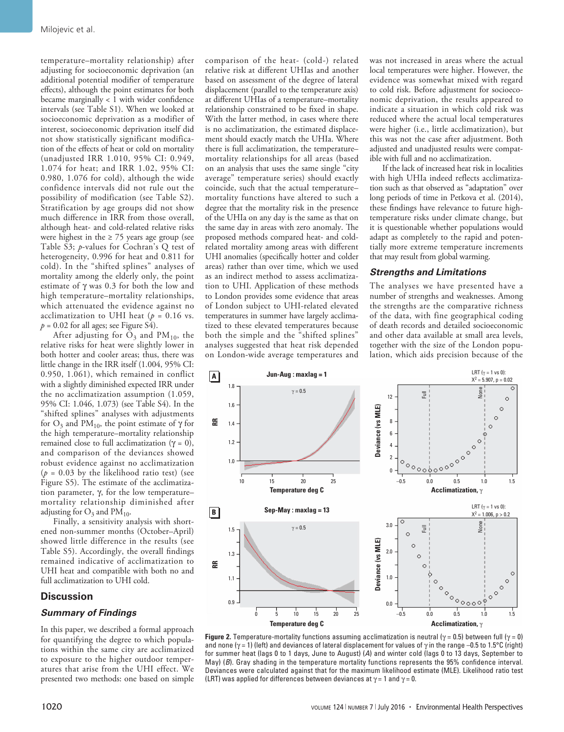temperature–mortality relationship) after adjusting for socioeconomic deprivation (an additional potential modifier of temperature effects), although the point estimates for both became marginally < 1 with wider confidence intervals (see Table S1). When we looked at socioeconomic deprivation as a modifier of interest, socioeconomic deprivation itself did not show statistically significant modification of the effects of heat or cold on mortality (unadjusted IRR 1.010, 95% CI: 0.949, 1.074 for heat; and IRR 1.02, 95% CI: 0.980, 1.076 for cold), although the wide confidence intervals did not rule out the possibility of modification (see Table S2). Stratification by age groups did not show much difference in IRR from those overall, although heat- and cold-related relative risks were highest in the  $\geq$  75 years age group (see Table S3; *p*-values for Cochran's Q test of heterogeneity, 0.996 for heat and 0.811 for cold). In the "shifted splines" analyses of mortality among the elderly only, the point estimate of γ was 0.3 for both the low and high temperature–mortality relationships, which attenuated the evidence against no acclimatization to UHI heat ( $p = 0.16$  vs.  $p = 0.02$  for all ages; see Figure S4).

After adjusting for  $\overline{O}_3$  and PM<sub>10</sub>, the relative risks for heat were slightly lower in both hotter and cooler areas; thus, there was little change in the IRR itself (1.004, 95% CI: 0.950, 1.061), which remained in conflict with a slightly diminished expected IRR under the no acclimatization assumption (1.059, 95% CI: 1.046, 1.073) (see Table S4). In the "shifted splines" analyses with adjustments for  $O_3$  and PM<sub>10</sub>, the point estimate of  $\gamma$  for the high temperature–mortality relationship remained close to full acclimatization (γ = 0), and comparison of the deviances showed robust evidence against no acclimatization  $(p = 0.03$  by the likelihood ratio test) (see Figure S5). The estimate of the acclimatization parameter, γ, for the low temperature– mortality relationship diminished after adjusting for  $O_3$  and  $PM_{10}$ .

Finally, a sensitivity analysis with shortened non-summer months (October–April) showed little difference in the results (see Table S5). Accordingly, the overall findings remained indicative of acclimatization to UHI heat and compatible with both no and full acclimatization to UHI cold.

#### **Discussion**

#### *Summary of Findings*

In this paper, we described a formal approach for quantifying the degree to which populations within the same city are acclimatized to exposure to the higher outdoor temperatures that arise from the UHI effect. We presented two methods: one based on simple comparison of the heat- (cold-) related relative risk at different UHIas and another based on assessment of the degree of lateral displacement (parallel to the temperature axis) at different UHIas of a temperature–mortality relationship constrained to be fixed in shape. With the latter method, in cases where there is no acclimatization, the estimated displacement should exactly match the UHIa. Where there is full acclimatization, the temperature– mortality relationships for all areas (based on an analysis that uses the same single "city average" temperature series) should exactly coincide, such that the actual temperature– mortality functions have altered to such a degree that the mortality risk in the presence of the UHIa on any day is the same as that on the same day in areas with zero anomaly. The proposed methods compared heat- and coldrelated mortality among areas with different UHI anomalies (specifically hotter and colder areas) rather than over time, which we used as an indirect method to assess acclimatization to UHI. Application of these methods to London provides some evidence that areas of London subject to UHI-related elevated temperatures in summer have largely acclimatized to these elevated temperatures because both the simple and the "shifted splines" analyses suggested that heat risk depended on London-wide average temperatures and was not increased in areas where the actual local temperatures were higher. However, the evidence was somewhat mixed with regard to cold risk. Before adjustment for socioeconomic deprivation, the results appeared to indicate a situation in which cold risk was reduced where the actual local temperatures were higher (i.e., little acclimatization), but this was not the case after adjustment. Both adjusted and unadjusted results were compatible with full and no acclimatization.

If the lack of increased heat risk in localities with high UHIa indeed reflects acclimatization such as that observed as "adaptation" over long periods of time in Petkova et al. (2014), these findings have relevance to future hightemperature risks under climate change, but it is questionable whether populations would adapt as completely to the rapid and potentially more extreme temperature increments that may result from global warming.

#### *Strengths and Limitations*

The analyses we have presented have a number of strengths and weaknesses. Among the strengths are the comparative richness of the data, with fine geographical coding of death records and detailed socioeconomic and other data available at small area levels, together with the size of the London population, which aids precision because of the



**Figure 2.** Temperature-mortality functions assuming acclimatization is neutral ( $\gamma$  = 0.5) between full ( $\gamma$  = 0) and none ( $\gamma$  = 1) (left) and deviances of lateral displacement for values of  $\gamma$  in the range –0.5 to 1.5°C (right) for summer heat (lags 0 to 1 days, June to August) (*A*) and winter cold (lags 0 to 13 days, September to May) (*B*). Gray shading in the temperature mortality functions represents the 95% confidence interval. Deviances were calculated against that for the maximum likelihood estimate (MLE). Likelihood ratio test (LRT) was applied for differences between deviances at  $\gamma = 1$  and  $\gamma = 0$ .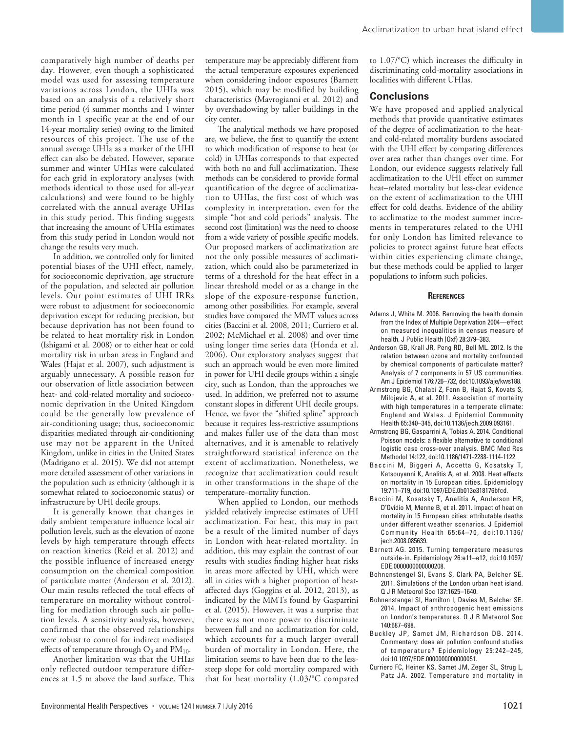comparatively high number of deaths per day. However, even though a sophisticated model was used for assessing temperature variations across London, the UHIa was based on an analysis of a relatively short time period (4 summer months and 1 winter month in 1 specific year at the end of our 14-year mortality series) owing to the limited resources of this project. The use of the annual average UHIa as a marker of the UHI effect can also be debated. However, separate summer and winter UHIas were calculated for each grid in exploratory analyses (with methods identical to those used for all-year calculations) and were found to be highly correlated with the annual average UHIas in this study period. This finding suggests that increasing the amount of UHIa estimates from this study period in London would not change the results very much.

In addition, we controlled only for limited potential biases of the UHI effect, namely, for socioeconomic deprivation, age structure of the population, and selected air pollution levels. Our point estimates of UHI IRRs were robust to adjustment for socioeconomic deprivation except for reducing precision, but because deprivation has not been found to be related to heat mortality risk in London (Ishigami et al. 2008) or to either heat or cold mortality risk in urban areas in England and Wales (Hajat et al. 2007), such adjustment is arguably unnecessary. A possible reason for our observation of little association between heat- and cold-related mortality and socioeconomic deprivation in the United Kingdom could be the generally low prevalence of air-conditioning usage; thus, socioeconomic disparities mediated through air-conditioning use may not be apparent in the United Kingdom, unlike in cities in the United States (Madrigano et al. 2015). We did not attempt more detailed assessment of other variations in the population such as ethnicity (although it is somewhat related to socioeconomic status) or infrastructure by UHI decile groups.

It is generally known that changes in daily ambient temperature influence local air pollution levels, such as the elevation of ozone levels by high temperature through effects on reaction kinetics (Reid et al. 2012) and the possible influence of increased energy consumption on the chemical composition of particulate matter (Anderson et al. 2012). Our main results reflected the total effects of temperature on mortality without controlling for mediation through such air pollution levels. A sensitivity analysis, however, confirmed that the observed relationships were robust to control for indirect mediated effects of temperature through  $O_3$  and  $PM_{10}$ .

Another limitation was that the UHIas only reflected outdoor temperature differences at 1.5 m above the land surface. This temperature may be appreciably different from the actual temperature exposures experienced when considering indoor exposures (Barnett 2015), which may be modified by building characteristics (Mavrogianni et al. 2012) and by overshadowing by taller buildings in the city center.

The analytical methods we have proposed are, we believe, the first to quantify the extent to which modification of response to heat (or cold) in UHIas corresponds to that expected with both no and full acclimatization. These methods can be considered to provide formal quantification of the degree of acclimatization to UHIas, the first cost of which was complexity in interpretation, even for the simple "hot and cold periods" analysis. The second cost (limitation) was the need to choose from a wide variety of possible specific models. Our proposed markers of acclimatization are not the only possible measures of acclimatization, which could also be parameterized in terms of a threshold for the heat effect in a linear threshold model or as a change in the slope of the exposure-response function, among other possibilities. For example, several studies have compared the MMT values across cities (Baccini et al. 2008, 2011; Curriero et al. 2002; McMichael et al. 2008) and over time using longer time series data (Honda et al. 2006). Our exploratory analyses suggest that such an approach would be even more limited in power for UHI decile groups within a single city, such as London, than the approaches we used. In addition, we preferred not to assume constant slopes in different UHI decile groups. Hence, we favor the "shifted spline" approach because it requires less-restrictive assumptions and makes fuller use of the data than most alternatives, and it is amenable to relatively straightforward statistical inference on the extent of acclimatization. Nonetheless, we recognize that acclimatization could result in other transformations in the shape of the temperature–mortality function.

When applied to London, our methods yielded relatively imprecise estimates of UHI acclimatization. For heat, this may in part be a result of the limited number of days in London with heat-related mortality. In addition, this may explain the contrast of our results with studies finding higher heat risks in areas more affected by UHI, which were all in cities with a higher proportion of heataffected days (Goggins et al. 2012, 2013), as indicated by the MMTs found by Gasparrini et al. (2015). However, it was a surprise that there was not more power to discriminate between full and no acclimatization for cold, which accounts for a much larger overall burden of mortality in London. Here, the limitation seems to have been due to the lesssteep slope for cold mortality compared with that for heat mortality (1.03/°C compared to 1.07/°C) which increases the difficulty in discriminating cold-mortality associations in localities with different UHIas.

#### **Conclusions**

We have proposed and applied analytical methods that provide quantitative estimates of the degree of acclimatization to the heatand cold-related mortality burdens associated with the UHI effect by comparing differences over area rather than changes over time. For London, our evidence suggests relatively full acclimatization to the UHI effect on summer heat–related mortality but less-clear evidence on the extent of acclimatization to the UHI effect for cold deaths. Evidence of the ability to acclimatize to the modest summer increments in temperatures related to the UHI for only London has limited relevance to policies to protect against future heat effects within cities experiencing climate change, but these methods could be applied to larger populations to inform such policies.

#### **References**

- Adams J, White M. 2006. Removing the health domain from the Index of Multiple Deprivation 2004—effect on measured inequalities in census measure of health. J Public Health (Oxf) 28:379–383.
- Anderson GB, Krall JR, Peng RD, Bell ML. 2012. Is the relation between ozone and mortality confounded by chemical components of particulate matter? Analysis of 7 components in 57 US communities. Am J Epidemiol 176:726–732, doi:10.1093/aje/kws188.
- Armstrong BG, Chalabi Z, Fenn B, Hajat S, Kovats S, Milojevic A, et al. 2011. Association of mortality with high temperatures in a temperate climate: England and Wales. J Epidemiol Community Health 65:340–345, doi:10.1136/jech.2009.093161.
- Armstrong BG, Gasparrini A, Tobias A. 2014. Conditional Poisson models: a flexible alternative to conditional logistic case cross-over analysis. BMC Med Res Methodol 14:122, doi:10.1186/1471-2288-1114-1122.
- Baccini M, Biggeri A, Accetta G, Kosatsky T, Katsouyanni K, Analitis A, et al. 2008. Heat effects on mortality in 15 European cities. Epidemiology 19:711–719, doi:10.1097/EDE.0b013e318176bfcd.
- Baccini M, Kosatsky T, Analitis A, Anderson HR, D'Ovidio M, Menne B, et al. 2011. Impact of heat on mortality in 15 European cities: attributable deaths under different weather scenarios. J Epidemiol Community Health 65:64–70, doi:10.1136/ jech.2008.085639.
- Barnett AG. 2015. Turning temperature measures outside-in. Epidemiology 26:e11–e12, doi:10.1097/ EDE.0000000000000208.
- Bohnenstengel SI, Evans S, Clark PA, Belcher SE. 2011. Simulations of the London urban heat island. Q J R Meteorol Soc 137:1625–1640.
- Bohnenstengel SI, Hamilton I, Davies M, Belcher SE. 2014. Impact of anthropogenic heat emissions on London's temperatures. Q J R Meteorol Soc 140:687–698.
- Buckley JP, Samet JM, Richardson DB. 2014. Commentary: does air pollution confound studies of temperature? Epidemiology 25:242–245, doi:10.1097/EDE.0000000000000051.
- Curriero FC, Heiner KS, Samet JM, Zeger SL, Strug L, Patz JA. 2002. Temperature and mortality in